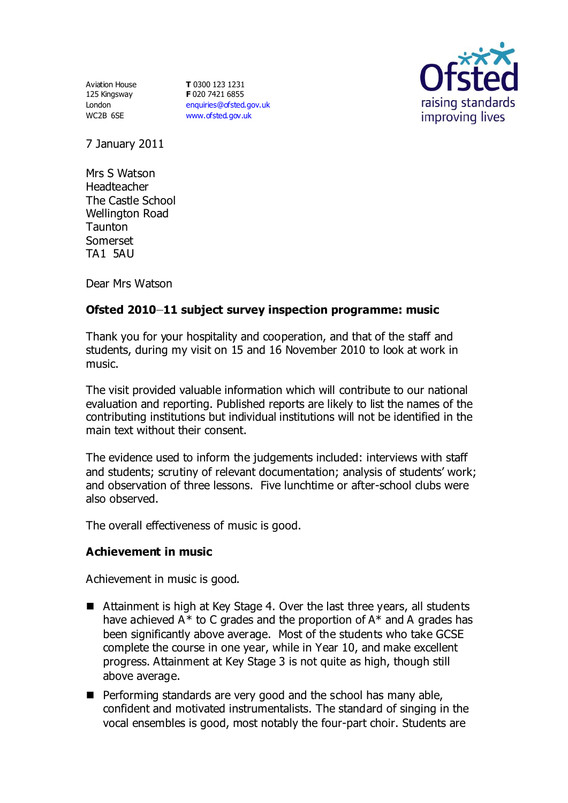Aviation House 125 Kingsway London WC2B 6SE

**T** 0300 123 1231 **F** 020 7421 6855 [enquiries@ofsted.gov.uk](mailto:enquiries@ofsted.gov.uk) [www.ofsted.gov.uk](http://www.ofsted.gov.uk/)



7 January 2011

Mrs S Watson **Headteacher** The Castle School Wellington Road **Taunton** Somerset TA1 5AU

Dear Mrs Watson

# **Ofsted 2010–11 subject survey inspection programme: music**

Thank you for your hospitality and cooperation, and that of the staff and students, during my visit on 15 and 16 November 2010 to look at work in music.

The visit provided valuable information which will contribute to our national evaluation and reporting. Published reports are likely to list the names of the contributing institutions but individual institutions will not be identified in the main text without their consent.

The evidence used to inform the judgements included: interviews with staff and students; scrutiny of relevant documentation; analysis of students' work; and observation of three lessons. Five lunchtime or after-school clubs were also observed.

The overall effectiveness of music is good.

## **Achievement in music**

Achievement in music is good.

- Attainment is high at Key Stage 4. Over the last three years, all students have achieved  $A^*$  to C grades and the proportion of  $A^*$  and A grades has been significantly above average. Most of the students who take GCSE complete the course in one year, while in Year 10, and make excellent progress. Attainment at Key Stage 3 is not quite as high, though still above average.
- **Performing standards are very good and the school has many able,** confident and motivated instrumentalists. The standard of singing in the vocal ensembles is good, most notably the four-part choir. Students are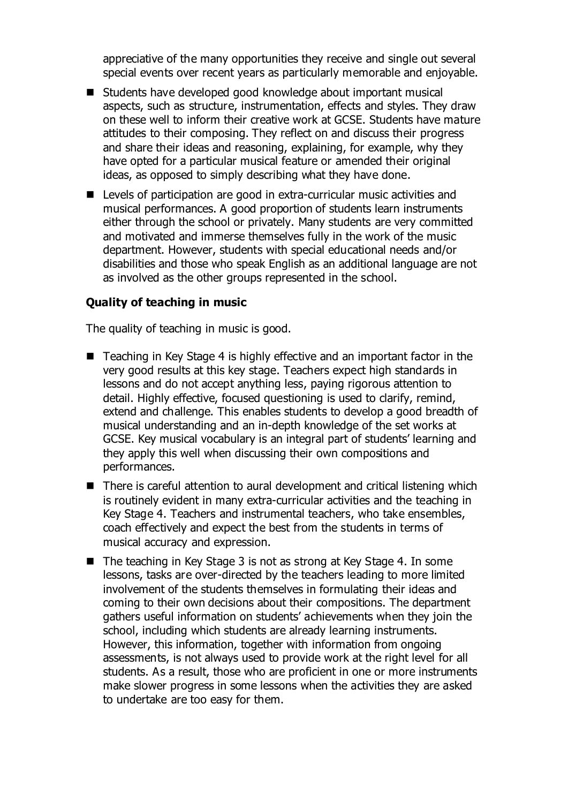appreciative of the many opportunities they receive and single out several special events over recent years as particularly memorable and enjoyable.

- Students have developed good knowledge about important musical aspects, such as structure, instrumentation, effects and styles. They draw on these well to inform their creative work at GCSE. Students have mature attitudes to their composing. They reflect on and discuss their progress and share their ideas and reasoning, explaining, for example, why they have opted for a particular musical feature or amended their original ideas, as opposed to simply describing what they have done.
- Levels of participation are good in extra-curricular music activities and musical performances. A good proportion of students learn instruments either through the school or privately. Many students are very committed and motivated and immerse themselves fully in the work of the music department. However, students with special educational needs and/or disabilities and those who speak English as an additional language are not as involved as the other groups represented in the school.

### **Quality of teaching in music**

The quality of teaching in music is good.

- Teaching in Key Stage 4 is highly effective and an important factor in the very good results at this key stage. Teachers expect high standards in lessons and do not accept anything less, paying rigorous attention to detail. Highly effective, focused questioning is used to clarify, remind, extend and challenge. This enables students to develop a good breadth of musical understanding and an in-depth knowledge of the set works at GCSE. Key musical vocabulary is an integral part of students' learning and they apply this well when discussing their own compositions and performances.
- There is careful attention to aural development and critical listening which is routinely evident in many extra-curricular activities and the teaching in Key Stage 4. Teachers and instrumental teachers, who take ensembles, coach effectively and expect the best from the students in terms of musical accuracy and expression.
- $\blacksquare$  The teaching in Key Stage 3 is not as strong at Key Stage 4. In some lessons, tasks are over-directed by the teachers leading to more limited involvement of the students themselves in formulating their ideas and coming to their own decisions about their compositions. The department gathers useful information on students' achievements when they join the school, including which students are already learning instruments. However, this information, together with information from ongoing assessments, is not always used to provide work at the right level for all students. As a result, those who are proficient in one or more instruments make slower progress in some lessons when the activities they are asked to undertake are too easy for them.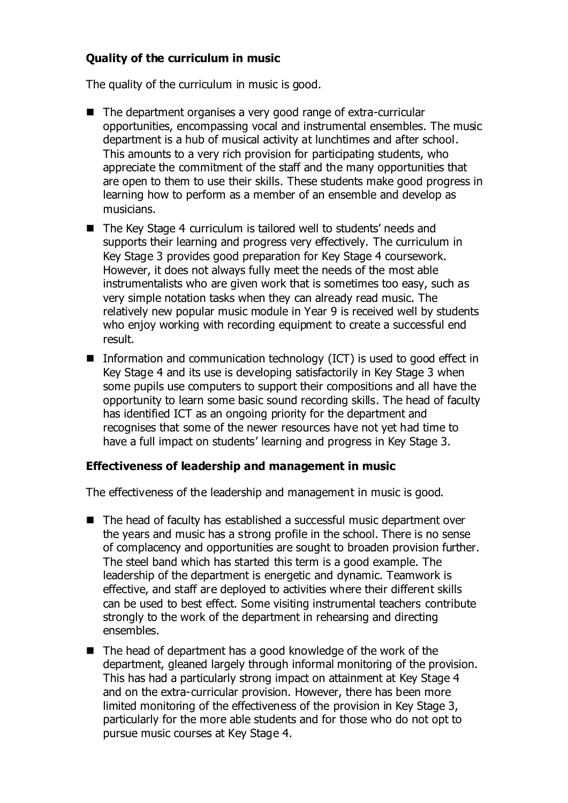# **Quality of the curriculum in music**

The quality of the curriculum in music is good.

- The department organises a very good range of extra-curricular opportunities, encompassing vocal and instrumental ensembles. The music department is a hub of musical activity at lunchtimes and after school. This amounts to a very rich provision for participating students, who appreciate the commitment of the staff and the many opportunities that are open to them to use their skills. These students make good progress in learning how to perform as a member of an ensemble and develop as musicians.
- The Key Stage 4 curriculum is tailored well to students' needs and supports their learning and progress very effectively. The curriculum in Key Stage 3 provides good preparation for Key Stage 4 coursework. However, it does not always fully meet the needs of the most able instrumentalists who are given work that is sometimes too easy, such as very simple notation tasks when they can already read music. The relatively new popular music module in Year 9 is received well by students who enjoy working with recording equipment to create a successful end result.
- **Information and communication technology (ICT) is used to good effect in** Key Stage 4 and its use is developing satisfactorily in Key Stage 3 when some pupils use computers to support their compositions and all have the opportunity to learn some basic sound recording skills. The head of faculty has identified ICT as an ongoing priority for the department and recognises that some of the newer resources have not yet had time to have a full impact on students' learning and progress in Key Stage 3.

#### **Effectiveness of leadership and management in music**

The effectiveness of the leadership and management in music is good.

- The head of faculty has established a successful music department over the years and music has a strong profile in the school. There is no sense of complacency and opportunities are sought to broaden provision further. The steel band which has started this term is a good example. The leadership of the department is energetic and dynamic. Teamwork is effective, and staff are deployed to activities where their different skills can be used to best effect. Some visiting instrumental teachers contribute strongly to the work of the department in rehearsing and directing ensembles.
- The head of department has a good knowledge of the work of the department, gleaned largely through informal monitoring of the provision. This has had a particularly strong impact on attainment at Key Stage 4 and on the extra-curricular provision. However, there has been more limited monitoring of the effectiveness of the provision in Key Stage 3, particularly for the more able students and for those who do not opt to pursue music courses at Key Stage 4.